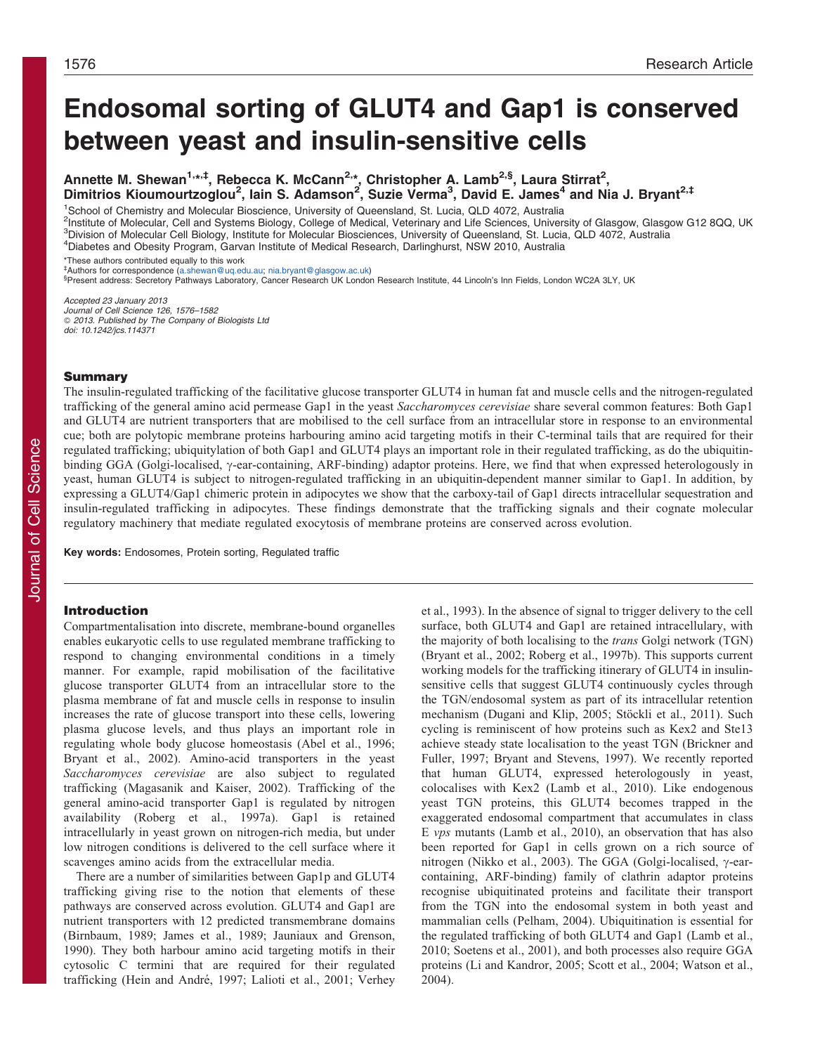# Endosomal sorting of GLUT4 and Gap1 is conserved between yeast and insulin-sensitive cells

Annette M. Shewan<sup>1,\*,‡</sup>, Rebecca K. McCann<sup>2,\*</sup>, Christopher A. Lamb<sup>2,§</sup>, Laura Stirrat<sup>2</sup>, Dimitrios Kioumourtzoglou<sup>2</sup>, lain S. Adamson<sup>2</sup>, Suzie Verma<sup>3</sup>, David E. James<sup>4</sup> and Nia J. Bryant<sup>2,‡</sup>

1 School of Chemistry and Molecular Bioscience, University of Queensland, St. Lucia, QLD 4072, Australia

<sup>2</sup>Institute of Molecular, Cell and Systems Biology, College of Medical, Veterinary and Life Sciences, University of Glasgow, Glasgow G12 8QQ, UK 3 Division of Molecular Cell Biology, Institute for Molecular Biosciences, University of Queensland, St. Lucia, QLD 4072, Australia

4 Diabetes and Obesity Program, Garvan Institute of Medical Research, Darlinghurst, NSW 2010, Australia

\*These authors contributed equally to this work

` Authors for correspondence ([a.shewan@uq.edu.au;](mailto:a.shewan@uq.edu.au) [nia.bryant@glasgow.ac.uk](mailto:nia.bryant@glasgow.ac.uk)) §

<sup>§</sup>Present address: Secretory Pathways Laboratory, Cancer Research UK London Research Institute, 44 Lincoln's Inn Fields, London WC2A 3LY, UK

Accepted 23 January 2013 Journal of Cell Science 126, 1576–1582 © 2013. Published by The Company of Biologists Lta doi: 10.1242/jcs.114371

# Summary

The insulin-regulated trafficking of the facilitative glucose transporter GLUT4 in human fat and muscle cells and the nitrogen-regulated trafficking of the general amino acid permease Gap1 in the yeast Saccharomyces cerevisiae share several common features: Both Gap1 and GLUT4 are nutrient transporters that are mobilised to the cell surface from an intracellular store in response to an environmental cue; both are polytopic membrane proteins harbouring amino acid targeting motifs in their C-terminal tails that are required for their regulated trafficking; ubiquitylation of both Gap1 and GLUT4 plays an important role in their regulated trafficking, as do the ubiquitinbinding GGA (Golgi-localised,  $\gamma$ -ear-containing, ARF-binding) adaptor proteins. Here, we find that when expressed heterologously in yeast, human GLUT4 is subject to nitrogen-regulated trafficking in an ubiquitin-dependent manner similar to Gap1. In addition, by expressing a GLUT4/Gap1 chimeric protein in adipocytes we show that the carboxy-tail of Gap1 directs intracellular sequestration and insulin-regulated trafficking in adipocytes. These findings demonstrate that the trafficking signals and their cognate molecular regulatory machinery that mediate regulated exocytosis of membrane proteins are conserved across evolution.

Key words: Endosomes, Protein sorting, Regulated traffic

# Introduction

Compartmentalisation into discrete, membrane-bound organelles enables eukaryotic cells to use regulated membrane trafficking to respond to changing environmental conditions in a timely manner. For example, rapid mobilisation of the facilitative glucose transporter GLUT4 from an intracellular store to the plasma membrane of fat and muscle cells in response to insulin increases the rate of glucose transport into these cells, lowering plasma glucose levels, and thus plays an important role in regulating whole body glucose homeostasis ([Abel et al., 1996](#page-5-0); [Bryant et al., 2002](#page-5-0)). Amino-acid transporters in the yeast Saccharomyces cerevisiae are also subject to regulated trafficking [\(Magasanik and Kaiser, 2002](#page-5-0)). Trafficking of the general amino-acid transporter Gap1 is regulated by nitrogen availability ([Roberg et al., 1997a\)](#page-5-0). Gap1 is retained intracellularly in yeast grown on nitrogen-rich media, but under low nitrogen conditions is delivered to the cell surface where it scavenges amino acids from the extracellular media.

There are a number of similarities between Gap1p and GLUT4 trafficking giving rise to the notion that elements of these pathways are conserved across evolution. GLUT4 and Gap1 are nutrient transporters with 12 predicted transmembrane domains [\(Birnbaum, 1989](#page-5-0); [James et al., 1989; Jauniaux and Grenson,](#page-5-0) [1990\)](#page-5-0). They both harbour amino acid targeting motifs in their cytosolic C termini that are required for their regulated trafficking (Hein and André, 1997; Lalioti et al., 2001; [Verhey](#page-6-0) [et al., 1993\)](#page-6-0). In the absence of signal to trigger delivery to the cell surface, both GLUT4 and Gap1 are retained intracellulary, with the majority of both localising to the trans Golgi network (TGN) ([Bryant et al., 2002; Roberg et al., 1997b\)](#page-5-0). This supports current working models for the trafficking itinerary of GLUT4 in insulinsensitive cells that suggest GLUT4 continuously cycles through the TGN/endosomal system as part of its intracellular retention mechanism ([Dugani and Klip, 2005;](#page-5-0) Stöckli et al., 2011). Such cycling is reminiscent of how proteins such as Kex2 and Ste13 achieve steady state localisation to the yeast TGN [\(Brickner and](#page-5-0) [Fuller, 1997; Bryant and Stevens, 1997](#page-5-0)). We recently reported that human GLUT4, expressed heterologously in yeast, colocalises with Kex2 ([Lamb et al., 2010\)](#page-5-0). Like endogenous yeast TGN proteins, this GLUT4 becomes trapped in the exaggerated endosomal compartment that accumulates in class E vps mutants ([Lamb et al., 2010](#page-5-0)), an observation that has also been reported for Gap1 in cells grown on a rich source of nitrogen ([Nikko et al., 2003\)](#page-5-0). The GGA (Golgi-localised,  $\gamma$ -earcontaining, ARF-binding) family of clathrin adaptor proteins recognise ubiquitinated proteins and facilitate their transport from the TGN into the endosomal system in both yeast and mammalian cells ([Pelham, 2004\)](#page-5-0). Ubiquitination is essential for the regulated trafficking of both GLUT4 and Gap1 [\(Lamb et al.,](#page-5-0) [2010;](#page-5-0) [Soetens et al., 2001\)](#page-6-0), and both processes also require GGA proteins [\(Li and Kandror, 2005; Scott et al., 2004](#page-5-0); [Watson et al.,](#page-6-0) [2004\)](#page-6-0).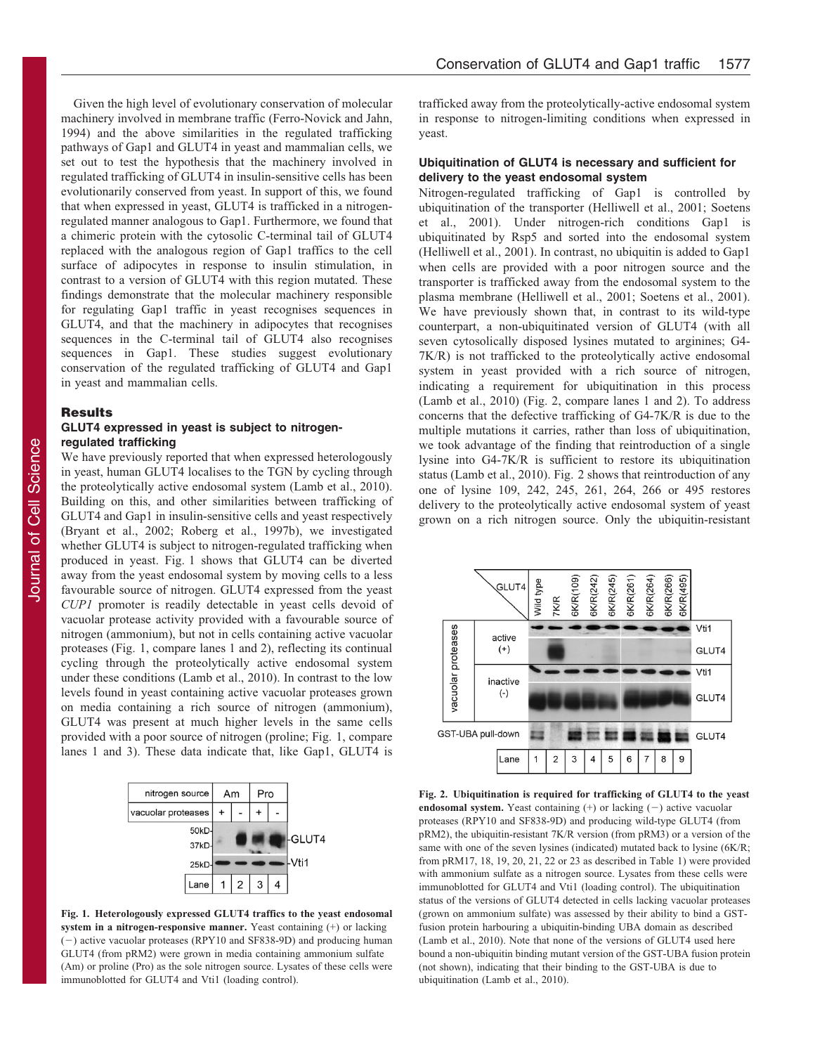<span id="page-1-0"></span>Given the high level of evolutionary conservation of molecular machinery involved in membrane traffic [\(Ferro-Novick and Jahn,](#page-5-0) [1994\)](#page-5-0) and the above similarities in the regulated trafficking pathways of Gap1 and GLUT4 in yeast and mammalian cells, we set out to test the hypothesis that the machinery involved in regulated trafficking of GLUT4 in insulin-sensitive cells has been evolutionarily conserved from yeast. In support of this, we found that when expressed in yeast, GLUT4 is trafficked in a nitrogenregulated manner analogous to Gap1. Furthermore, we found that a chimeric protein with the cytosolic C-terminal tail of GLUT4 replaced with the analogous region of Gap1 traffics to the cell surface of adipocytes in response to insulin stimulation, in contrast to a version of GLUT4 with this region mutated. These findings demonstrate that the molecular machinery responsible for regulating Gap1 traffic in yeast recognises sequences in GLUT4, and that the machinery in adipocytes that recognises sequences in the C-terminal tail of GLUT4 also recognises sequences in Gap1. These studies suggest evolutionary conservation of the regulated trafficking of GLUT4 and Gap1 in yeast and mammalian cells.

# Results

# GLUT4 expressed in yeast is subject to nitrogenregulated trafficking

We have previously reported that when expressed heterologously in yeast, human GLUT4 localises to the TGN by cycling through the proteolytically active endosomal system ([Lamb et al., 2010](#page-5-0)). Building on this, and other similarities between trafficking of GLUT4 and Gap1 in insulin-sensitive cells and yeast respectively ([Bryant et al., 2002](#page-5-0); [Roberg et al., 1997b\)](#page-5-0), we investigated whether GLUT4 is subject to nitrogen-regulated trafficking when produced in yeast. Fig. 1 shows that GLUT4 can be diverted away from the yeast endosomal system by moving cells to a less favourable source of nitrogen. GLUT4 expressed from the yeast CUP1 promoter is readily detectable in yeast cells devoid of vacuolar protease activity provided with a favourable source of nitrogen (ammonium), but not in cells containing active vacuolar proteases (Fig. 1, compare lanes 1 and 2), reflecting its continual cycling through the proteolytically active endosomal system under these conditions [\(Lamb et al., 2010](#page-5-0)). In contrast to the low levels found in yeast containing active vacuolar proteases grown on media containing a rich source of nitrogen (ammonium), GLUT4 was present at much higher levels in the same cells provided with a poor source of nitrogen (proline; Fig. 1, compare lanes 1 and 3). These data indicate that, like Gap1, GLUT4 is



Fig. 1. Heterologously expressed GLUT4 traffics to the yeast endosomal system in a nitrogen-responsive manner. Yeast containing (+) or lacking  $(-)$  active vacuolar proteases (RPY10 and SF838-9D) and producing human GLUT4 (from pRM2) were grown in media containing ammonium sulfate (Am) or proline (Pro) as the sole nitrogen source. Lysates of these cells were immunoblotted for GLUT4 and Vti1 (loading control).

trafficked away from the proteolytically-active endosomal system in response to nitrogen-limiting conditions when expressed in yeast.

# Ubiquitination of GLUT4 is necessary and sufficient for delivery to the yeast endosomal system

Nitrogen-regulated trafficking of Gap1 is controlled by ubiquitination of the transporter [\(Helliwell et al., 2001](#page-5-0); [Soetens](#page-6-0) [et al., 2001](#page-6-0)). Under nitrogen-rich conditions Gap1 is ubiquitinated by Rsp5 and sorted into the endosomal system ([Helliwell et al., 2001](#page-5-0)). In contrast, no ubiquitin is added to Gap1 when cells are provided with a poor nitrogen source and the transporter is trafficked away from the endosomal system to the plasma membrane ([Helliwell et al., 2001;](#page-5-0) [Soetens et al., 2001](#page-6-0)). We have previously shown that, in contrast to its wild-type counterpart, a non-ubiquitinated version of GLUT4 (with all seven cytosolically disposed lysines mutated to arginines; G4- 7K/R) is not trafficked to the proteolytically active endosomal system in yeast provided with a rich source of nitrogen, indicating a requirement for ubiquitination in this process ([Lamb et al., 2010](#page-5-0)) (Fig. 2, compare lanes 1 and 2). To address concerns that the defective trafficking of G4-7K/R is due to the multiple mutations it carries, rather than loss of ubiquitination, we took advantage of the finding that reintroduction of a single lysine into G4-7K/R is sufficient to restore its ubiquitination status ([Lamb et al., 2010](#page-5-0)). Fig. 2 shows that reintroduction of any one of lysine 109, 242, 245, 261, 264, 266 or 495 restores delivery to the proteolytically active endosomal system of yeast grown on a rich nitrogen source. Only the ubiquitin-resistant



Fig. 2. Ubiquitination is required for trafficking of GLUT4 to the yeast endosomal system. Yeast containing  $(+)$  or lacking  $(-)$  active vacuolar proteases (RPY10 and SF838-9D) and producing wild-type GLUT4 (from pRM2), the ubiquitin-resistant 7K/R version (from pRM3) or a version of the same with one of the seven lysines (indicated) mutated back to lysine (6K/R; from pRM17, 18, 19, 20, 21, 22 or 23 as described in [Table 1](#page-4-0)) were provided with ammonium sulfate as a nitrogen source. Lysates from these cells were immunoblotted for GLUT4 and Vti1 (loading control). The ubiquitination status of the versions of GLUT4 detected in cells lacking vacuolar proteases (grown on ammonium sulfate) was assessed by their ability to bind a GSTfusion protein harbouring a ubiquitin-binding UBA domain as described [\(Lamb et al., 2010\)](#page-5-0). Note that none of the versions of GLUT4 used here bound a non-ubiquitin binding mutant version of the GST-UBA fusion protein (not shown), indicating that their binding to the GST-UBA is due to ubiquitination ([Lamb et al., 2010\)](#page-5-0).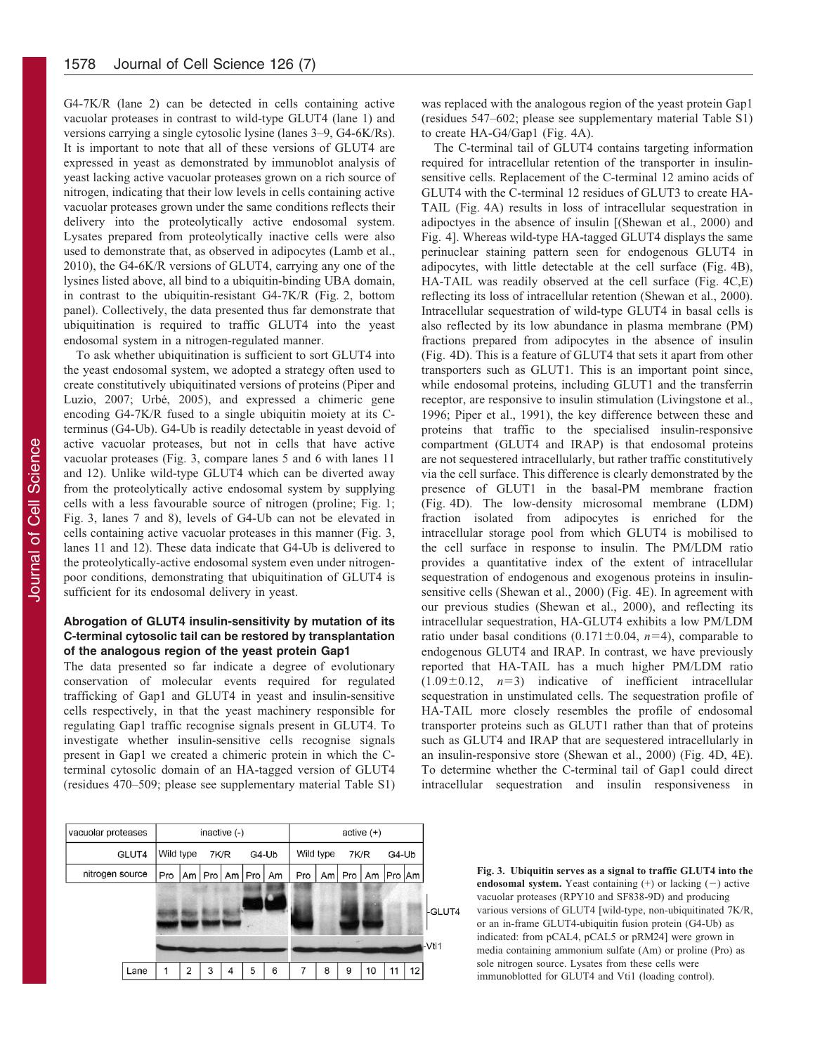G4-7K/R (lane 2) can be detected in cells containing active vacuolar proteases in contrast to wild-type GLUT4 (lane 1) and versions carrying a single cytosolic lysine (lanes 3–9, G4-6K/Rs). It is important to note that all of these versions of GLUT4 are expressed in yeast as demonstrated by immunoblot analysis of yeast lacking active vacuolar proteases grown on a rich source of nitrogen, indicating that their low levels in cells containing active vacuolar proteases grown under the same conditions reflects their delivery into the proteolytically active endosomal system. Lysates prepared from proteolytically inactive cells were also used to demonstrate that, as observed in adipocytes ([Lamb et al.,](#page-5-0) [2010\)](#page-5-0), the G4-6K/R versions of GLUT4, carrying any one of the lysines listed above, all bind to a ubiquitin-binding UBA domain, in contrast to the ubiquitin-resistant G4-7K/R [\(Fig. 2,](#page-1-0) bottom panel). Collectively, the data presented thus far demonstrate that ubiquitination is required to traffic GLUT4 into the yeast endosomal system in a nitrogen-regulated manner.

To ask whether ubiquitination is sufficient to sort GLUT4 into the yeast endosomal system, we adopted a strategy often used to create constitutively ubiquitinated versions of proteins ([Piper and](#page-5-0) [Luzio, 2007;](#page-5-0) Urbé, 2005), and expressed a chimeric gene encoding G4-7K/R fused to a single ubiquitin moiety at its Cterminus (G4-Ub). G4-Ub is readily detectable in yeast devoid of active vacuolar proteases, but not in cells that have active vacuolar proteases (Fig. 3, compare lanes 5 and 6 with lanes 11 and 12). Unlike wild-type GLUT4 which can be diverted away from the proteolytically active endosomal system by supplying cells with a less favourable source of nitrogen (proline; [Fig. 1](#page-1-0); Fig. 3, lanes 7 and 8), levels of G4-Ub can not be elevated in cells containing active vacuolar proteases in this manner (Fig. 3, lanes 11 and 12). These data indicate that G4-Ub is delivered to the proteolytically-active endosomal system even under nitrogenpoor conditions, demonstrating that ubiquitination of GLUT4 is sufficient for its endosomal delivery in yeast.

# Abrogation of GLUT4 insulin-sensitivity by mutation of its C-terminal cytosolic tail can be restored by transplantation of the analogous region of the yeast protein Gap1

The data presented so far indicate a degree of evolutionary conservation of molecular events required for regulated trafficking of Gap1 and GLUT4 in yeast and insulin-sensitive cells respectively, in that the yeast machinery responsible for regulating Gap1 traffic recognise signals present in GLUT4. To investigate whether insulin-sensitive cells recognise signals present in Gap1 we created a chimeric protein in which the Cterminal cytosolic domain of an HA-tagged version of GLUT4 (residues 470–509; please see supplementary material Table S1)

was replaced with the analogous region of the yeast protein Gap1 (residues 547–602; please see supplementary material Table S1) to create HA-G4/Gap1 [\(Fig. 4A\)](#page-3-0).

The C-terminal tail of GLUT4 contains targeting information required for intracellular retention of the transporter in insulinsensitive cells. Replacement of the C-terminal 12 amino acids of GLUT4 with the C-terminal 12 residues of GLUT3 to create HA-TAIL ([Fig. 4A](#page-3-0)) results in loss of intracellular sequestration in adipoctyes in the absence of insulin [([Shewan et al., 2000](#page-6-0)) and [Fig. 4\]](#page-3-0). Whereas wild-type HA-tagged GLUT4 displays the same perinuclear staining pattern seen for endogenous GLUT4 in adipocytes, with little detectable at the cell surface [\(Fig. 4B](#page-3-0)), HA-TAIL was readily observed at the cell surface [\(Fig. 4C,E\)](#page-3-0) reflecting its loss of intracellular retention ([Shewan et al., 2000](#page-6-0)). Intracellular sequestration of wild-type GLUT4 in basal cells is also reflected by its low abundance in plasma membrane (PM) fractions prepared from adipocytes in the absence of insulin ([Fig. 4D\)](#page-3-0). This is a feature of GLUT4 that sets it apart from other transporters such as GLUT1. This is an important point since, while endosomal proteins, including GLUT1 and the transferrin receptor, are responsive to insulin stimulation ([Livingstone et al.,](#page-5-0) [1996; Piper et al., 1991](#page-5-0)), the key difference between these and proteins that traffic to the specialised insulin-responsive compartment (GLUT4 and IRAP) is that endosomal proteins are not sequestered intracellularly, but rather traffic constitutively via the cell surface. This difference is clearly demonstrated by the presence of GLUT1 in the basal-PM membrane fraction ([Fig. 4D\)](#page-3-0). The low-density microsomal membrane (LDM) fraction isolated from adipocytes is enriched for the intracellular storage pool from which GLUT4 is mobilised to the cell surface in response to insulin. The PM/LDM ratio provides a quantitative index of the extent of intracellular sequestration of endogenous and exogenous proteins in insulinsensitive cells ([Shewan et al., 2000\)](#page-6-0) ([Fig. 4E](#page-3-0)). In agreement with our previous studies ([Shewan et al., 2000](#page-6-0)), and reflecting its intracellular sequestration, HA-GLUT4 exhibits a low PM/LDM ratio under basal conditions (0.171 $\pm$ 0.04, n=4), comparable to endogenous GLUT4 and IRAP. In contrast, we have previously reported that HA-TAIL has a much higher PM/LDM ratio  $(1.09\pm0.12, n=3)$  indicative of inefficient intracellular sequestration in unstimulated cells. The sequestration profile of HA-TAIL more closely resembles the profile of endosomal transporter proteins such as GLUT1 rather than that of proteins such as GLUT4 and IRAP that are sequestered intracellularly in an insulin-responsive store [\(Shewan et al., 2000\)](#page-6-0) [\(Fig. 4D, 4E](#page-3-0)). To determine whether the C-terminal tail of Gap1 could direct intracellular sequestration and insulin responsiveness in



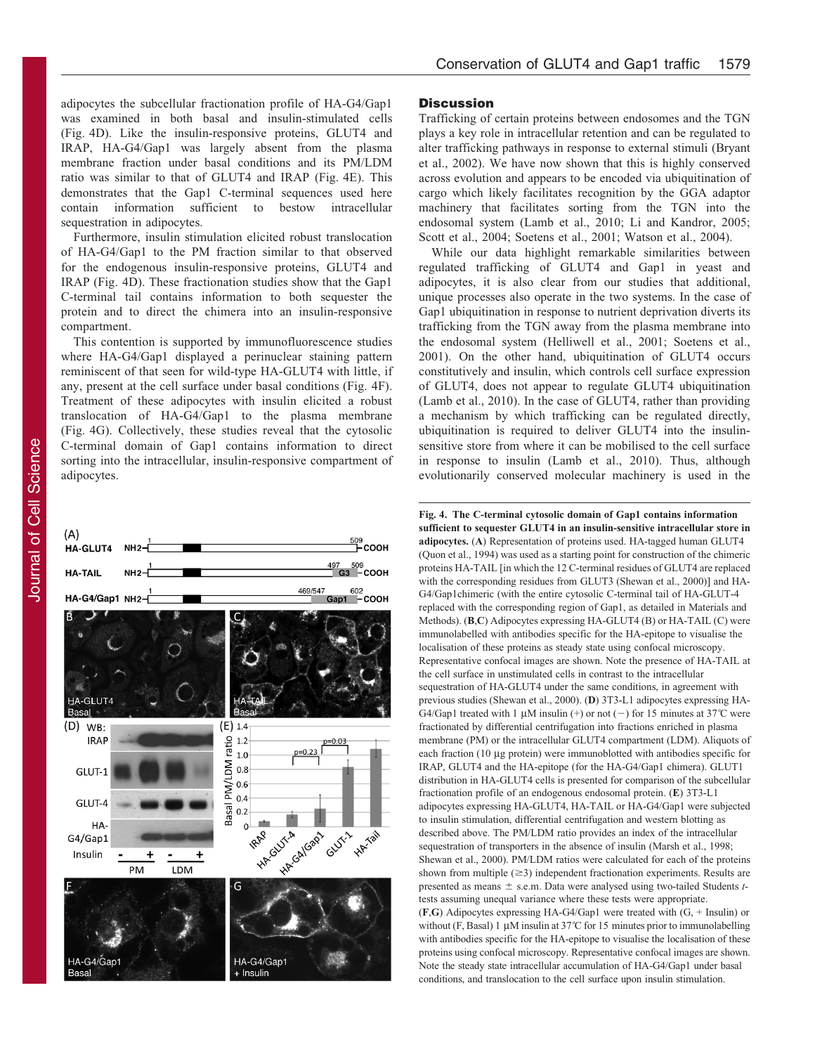<span id="page-3-0"></span>adipocytes the subcellular fractionation profile of HA-G4/Gap1 was examined in both basal and insulin-stimulated cells (Fig. 4D). Like the insulin-responsive proteins, GLUT4 and IRAP, HA-G4/Gap1 was largely absent from the plasma membrane fraction under basal conditions and its PM/LDM ratio was similar to that of GLUT4 and IRAP (Fig. 4E). This demonstrates that the Gap1 C-terminal sequences used here contain information sufficient to bestow intracellular sequestration in adipocytes.

Furthermore, insulin stimulation elicited robust translocation of HA-G4/Gap1 to the PM fraction similar to that observed for the endogenous insulin-responsive proteins, GLUT4 and IRAP (Fig. 4D). These fractionation studies show that the Gap1 C-terminal tail contains information to both sequester the protein and to direct the chimera into an insulin-responsive compartment.

This contention is supported by immunofluorescence studies where HA-G4/Gap1 displayed a perinuclear staining pattern reminiscent of that seen for wild-type HA-GLUT4 with little, if any, present at the cell surface under basal conditions (Fig. 4F). Treatment of these adipocytes with insulin elicited a robust translocation of HA-G4/Gap1 to the plasma membrane (Fig. 4G). Collectively, these studies reveal that the cytosolic C-terminal domain of Gap1 contains information to direct sorting into the intracellular, insulin-responsive compartment of adipocytes.



# **Discussion**

Trafficking of certain proteins between endosomes and the TGN plays a key role in intracellular retention and can be regulated to alter trafficking pathways in response to external stimuli [\(Bryant](#page-5-0) [et al., 2002](#page-5-0)). We have now shown that this is highly conserved across evolution and appears to be encoded via ubiquitination of cargo which likely facilitates recognition by the GGA adaptor machinery that facilitates sorting from the TGN into the endosomal system ([Lamb et al., 2010](#page-5-0); [Li and Kandror, 2005](#page-5-0); [Scott et al., 2004](#page-5-0); [Soetens et al., 2001](#page-6-0); [Watson et al., 2004](#page-6-0)).

While our data highlight remarkable similarities between regulated trafficking of GLUT4 and Gap1 in yeast and adipocytes, it is also clear from our studies that additional, unique processes also operate in the two systems. In the case of Gap1 ubiquitination in response to nutrient deprivation diverts its trafficking from the TGN away from the plasma membrane into the endosomal system [\(Helliwell et al., 2001;](#page-5-0) [Soetens et al.,](#page-6-0) [2001\)](#page-6-0). On the other hand, ubiquitination of GLUT4 occurs constitutively and insulin, which controls cell surface expression of GLUT4, does not appear to regulate GLUT4 ubiquitination ([Lamb et al., 2010\)](#page-5-0). In the case of GLUT4, rather than providing a mechanism by which trafficking can be regulated directly, ubiquitination is required to deliver GLUT4 into the insulinsensitive store from where it can be mobilised to the cell surface in response to insulin [\(Lamb et al., 2010](#page-5-0)). Thus, although evolutionarily conserved molecular machinery is used in the

Fig. 4. The C-terminal cytosolic domain of Gap1 contains information sufficient to sequester GLUT4 in an insulin-sensitive intracellular store in adipocytes. (A) Representation of proteins used. HA-tagged human GLUT4 [\(Quon et al., 1994\)](#page-5-0) was used as a starting point for construction of the chimeric proteins HA-TAIL [in which the 12 C-terminal residues of GLUT4 are replaced with the corresponding residues from GLUT3 ([Shewan et al., 2000\)](#page-6-0)] and HA-G4/Gap1chimeric (with the entire cytosolic C-terminal tail of HA-GLUT-4 replaced with the corresponding region of Gap1, as detailed in Materials and Methods). (B,C) Adipocytes expressing HA-GLUT4 (B) or HA-TAIL (C) were immunolabelled with antibodies specific for the HA-epitope to visualise the localisation of these proteins as steady state using confocal microscopy. Representative confocal images are shown. Note the presence of HA-TAIL at the cell surface in unstimulated cells in contrast to the intracellular sequestration of HA-GLUT4 under the same conditions, in agreement with previous studies [\(Shewan et al., 2000\)](#page-6-0). (D) 3T3-L1 adipocytes expressing HA-G4/Gap1 treated with 1  $\mu$ M insulin (+) or not (-) for 15 minutes at 37°C were fractionated by differential centrifugation into fractions enriched in plasma membrane (PM) or the intracellular GLUT4 compartment (LDM). Aliquots of each fraction (10 µg protein) were immunoblotted with antibodies specific for IRAP, GLUT4 and the HA-epitope (for the HA-G4/Gap1 chimera). GLUT1 distribution in HA-GLUT4 cells is presented for comparison of the subcellular fractionation profile of an endogenous endosomal protein. (E) 3T3-L1 adipocytes expressing HA-GLUT4, HA-TAIL or HA-G4/Gap1 were subjected to insulin stimulation, differential centrifugation and western blotting as described above. The PM/LDM ratio provides an index of the intracellular sequestration of transporters in the absence of insulin [\(Marsh et al., 1998;](#page-5-0) [Shewan et al., 2000\)](#page-6-0). PM/LDM ratios were calculated for each of the proteins shown from multiple  $(\geq 3)$  independent fractionation experiments. Results are presented as means  $\pm$  s.e.m. Data were analysed using two-tailed Students ttests assuming unequal variance where these tests were appropriate. (F,G) Adipocytes expressing HA-G4/Gap1 were treated with (G, + Insulin) or without (F, Basal) 1  $\mu$ M insulin at 37°C for 15 minutes prior to immunolabelling with antibodies specific for the HA-epitope to visualise the localisation of these proteins using confocal microscopy. Representative confocal images are shown. Note the steady state intracellular accumulation of HA-G4/Gap1 under basal conditions, and translocation to the cell surface upon insulin stimulation.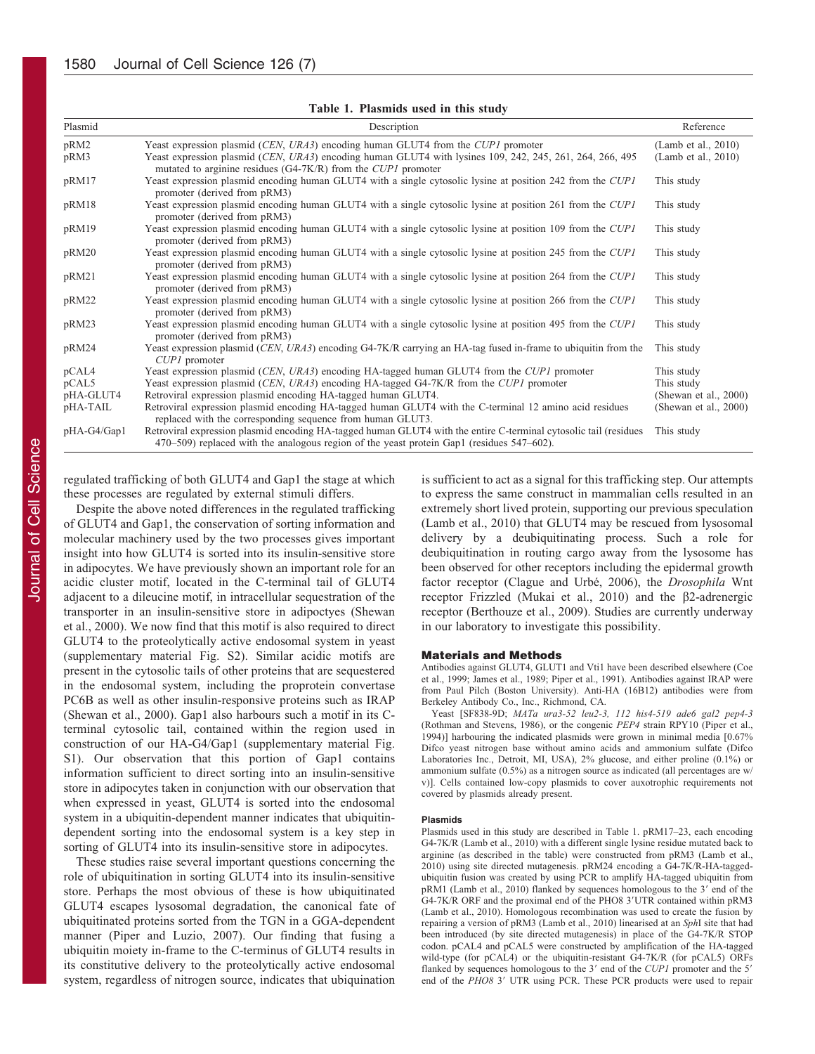<span id="page-4-0"></span>

| Table 1. Plasmids used in this study |                                                                                                                                                                                                                                                                 |                                            |
|--------------------------------------|-----------------------------------------------------------------------------------------------------------------------------------------------------------------------------------------------------------------------------------------------------------------|--------------------------------------------|
| Plasmid                              | Description                                                                                                                                                                                                                                                     | Reference                                  |
| pRM2<br>pRM3                         | Yeast expression plasmid (CEN, URA3) encoding human GLUT4 from the CUP1 promoter<br>Yeast expression plasmid (CEN, URA3) encoding human GLUT4 with lysines 109, 242, 245, 261, 264, 266, 495<br>mutated to arginine residues (G4-7K/R) from the $CUPI$ promoter | (Lamb et al., 2010)<br>(Lamb et al., 2010) |
| pRM17                                | Yeast expression plasmid encoding human GLUT4 with a single cytosolic lysine at position 242 from the CUP1<br>promoter (derived from pRM3)                                                                                                                      | This study                                 |
| pRM18                                | Yeast expression plasmid encoding human GLUT4 with a single cytosolic lysine at position 261 from the CUP1<br>promoter (derived from pRM3)                                                                                                                      | This study                                 |
| pRM19                                | Yeast expression plasmid encoding human GLUT4 with a single cytosolic lysine at position 109 from the CUP1<br>promoter (derived from pRM3)                                                                                                                      | This study                                 |
| pRM20                                | Yeast expression plasmid encoding human GLUT4 with a single cytosolic lysine at position 245 from the CUP1<br>promoter (derived from pRM3)                                                                                                                      | This study                                 |
| pRM21                                | Yeast expression plasmid encoding human GLUT4 with a single cytosolic lysine at position 264 from the CUP1<br>promoter (derived from pRM3)                                                                                                                      | This study                                 |
| pRM22                                | Yeast expression plasmid encoding human GLUT4 with a single cytosolic lysine at position 266 from the CUP1<br>promoter (derived from pRM3)                                                                                                                      | This study                                 |
| pRM23                                | Yeast expression plasmid encoding human GLUT4 with a single cytosolic lysine at position 495 from the CUP1<br>promoter (derived from pRM3)                                                                                                                      | This study                                 |
| pRM24                                | Yeast expression plasmid (CEN, URA3) encoding G4-7K/R carrying an HA-tag fused in-frame to ubiquitin from the<br>CUP1 promoter                                                                                                                                  | This study                                 |
| pCAL4                                | Yeast expression plasmid (CEN, URA3) encoding HA-tagged human GLUT4 from the CUP1 promoter                                                                                                                                                                      | This study                                 |
| pCAL5                                | Yeast expression plasmid (CEN, URA3) encoding HA-tagged G4-7K/R from the CUP1 promoter                                                                                                                                                                          | This study                                 |
| pHA-GLUT4                            | Retroviral expression plasmid encoding HA-tagged human GLUT4.                                                                                                                                                                                                   | (Shewan et al., 2000)                      |
| pHA-TAIL                             | Retroviral expression plasmid encoding HA-tagged human GLUT4 with the C-terminal 12 amino acid residues<br>replaced with the corresponding sequence from human GLUT3.                                                                                           | (Shewan et al., 2000)                      |
| pHA-G4/Gap1                          | Retroviral expression plasmid encoding HA-tagged human GLUT4 with the entire C-terminal cytosolic tail (residues                                                                                                                                                | This study                                 |

470–509) replaced with the analogous region of the yeast protein Gap1 (residues 547–602).

regulated trafficking of both GLUT4 and Gap1 the stage at which these processes are regulated by external stimuli differs.

Despite the above noted differences in the regulated trafficking of GLUT4 and Gap1, the conservation of sorting information and molecular machinery used by the two processes gives important insight into how GLUT4 is sorted into its insulin-sensitive store in adipocytes. We have previously shown an important role for an acidic cluster motif, located in the C-terminal tail of GLUT4 adjacent to a dileucine motif, in intracellular sequestration of the transporter in an insulin-sensitive store in adipoctyes ([Shewan](#page-6-0) [et al., 2000\)](#page-6-0). We now find that this motif is also required to direct GLUT4 to the proteolytically active endosomal system in yeast (supplementary material Fig. S2). Similar acidic motifs are present in the cytosolic tails of other proteins that are sequestered in the endosomal system, including the proprotein convertase PC6B as well as other insulin-responsive proteins such as IRAP [\(Shewan et al., 2000](#page-6-0)). Gap1 also harbours such a motif in its Cterminal cytosolic tail, contained within the region used in construction of our HA-G4/Gap1 (supplementary material Fig. S1). Our observation that this portion of Gap1 contains information sufficient to direct sorting into an insulin-sensitive store in adipocytes taken in conjunction with our observation that when expressed in yeast, GLUT4 is sorted into the endosomal system in a ubiquitin-dependent manner indicates that ubiquitindependent sorting into the endosomal system is a key step in sorting of GLUT4 into its insulin-sensitive store in adipocytes.

These studies raise several important questions concerning the role of ubiquitination in sorting GLUT4 into its insulin-sensitive store. Perhaps the most obvious of these is how ubiquitinated GLUT4 escapes lysosomal degradation, the canonical fate of ubiquitinated proteins sorted from the TGN in a GGA-dependent manner [\(Piper and Luzio, 2007](#page-5-0)). Our finding that fusing a ubiquitin moiety in-frame to the C-terminus of GLUT4 results in its constitutive delivery to the proteolytically active endosomal system, regardless of nitrogen source, indicates that ubiquination

is sufficient to act as a signal for this trafficking step. Our attempts to express the same construct in mammalian cells resulted in an extremely short lived protein, supporting our previous speculation ([Lamb et al., 2010\)](#page-5-0) that GLUT4 may be rescued from lysosomal delivery by a deubiquitinating process. Such a role for deubiquitination in routing cargo away from the lysosome has been observed for other receptors including the epidermal growth factor receptor (Clague and Urbé, 2006), the *Drosophila* Wnt receptor Frizzled [\(Mukai et al., 2010](#page-5-0)) and the  $\beta$ 2-adrenergic receptor ([Berthouze et al., 2009](#page-5-0)). Studies are currently underway in our laboratory to investigate this possibility.

## Materials and Methods

Antibodies against GLUT4, GLUT1 and Vti1 have been described elsewhere ([Coe](#page-5-0) [et al., 1999; James et al., 1989](#page-5-0); [Piper et al., 1991\)](#page-5-0). Antibodies against IRAP were from Paul Pilch (Boston University). Anti-HA (16B12) antibodies were from Berkeley Antibody Co., Inc., Richmond, CA.

Yeast [SF838-9D; MATa ura3-52 leu2-3, 112 his4-519 ade6 gal2 pep4-3 [\(Rothman and Stevens, 1986\)](#page-5-0), or the congenic PEP4 strain RPY10 [\(Piper et al.,](#page-5-0) [1994\)](#page-5-0)] harbouring the indicated plasmids were grown in minimal media [0.67% Difco yeast nitrogen base without amino acids and ammonium sulfate (Difco Laboratories Inc., Detroit, MI, USA), 2% glucose, and either proline (0.1%) or ammonium sulfate (0.5%) as a nitrogen source as indicated (all percentages are w/ v)]. Cells contained low-copy plasmids to cover auxotrophic requirements not covered by plasmids already present.

## Plasmids

Plasmids used in this study are described in Table 1. pRM17–23, each encoding G4-7K/R [\(Lamb et al., 2010\)](#page-5-0) with a different single lysine residue mutated back to arginine (as described in the table) were constructed from pRM3 [\(Lamb et al.,](#page-5-0) [2010\)](#page-5-0) using site directed mutagenesis. pRM24 encoding a G4-7K/R-HA-taggedubiquitin fusion was created by using PCR to amplify HA-tagged ubiquitin from  $pRM1$  ([Lamb et al., 2010\)](#page-5-0) flanked by sequences homologous to the 3' end of the G4-7K/R ORF and the proximal end of the PHO8 3'UTR contained within pRM3 [\(Lamb et al., 2010\)](#page-5-0). Homologous recombination was used to create the fusion by repairing a version of pRM3 ([Lamb et al., 2010\)](#page-5-0) linearised at an SphI site that had been introduced (by site directed mutagenesis) in place of the G4-7K/R STOP codon. pCAL4 and pCAL5 were constructed by amplification of the HA-tagged wild-type (for pCAL4) or the ubiquitin-resistant G4-7K/R (for pCAL5) ORFs flanked by sequences homologous to the  $3'$  end of the CUP1 promoter and the  $5'$ end of the PHO8 3' UTR using PCR. These PCR products were used to repair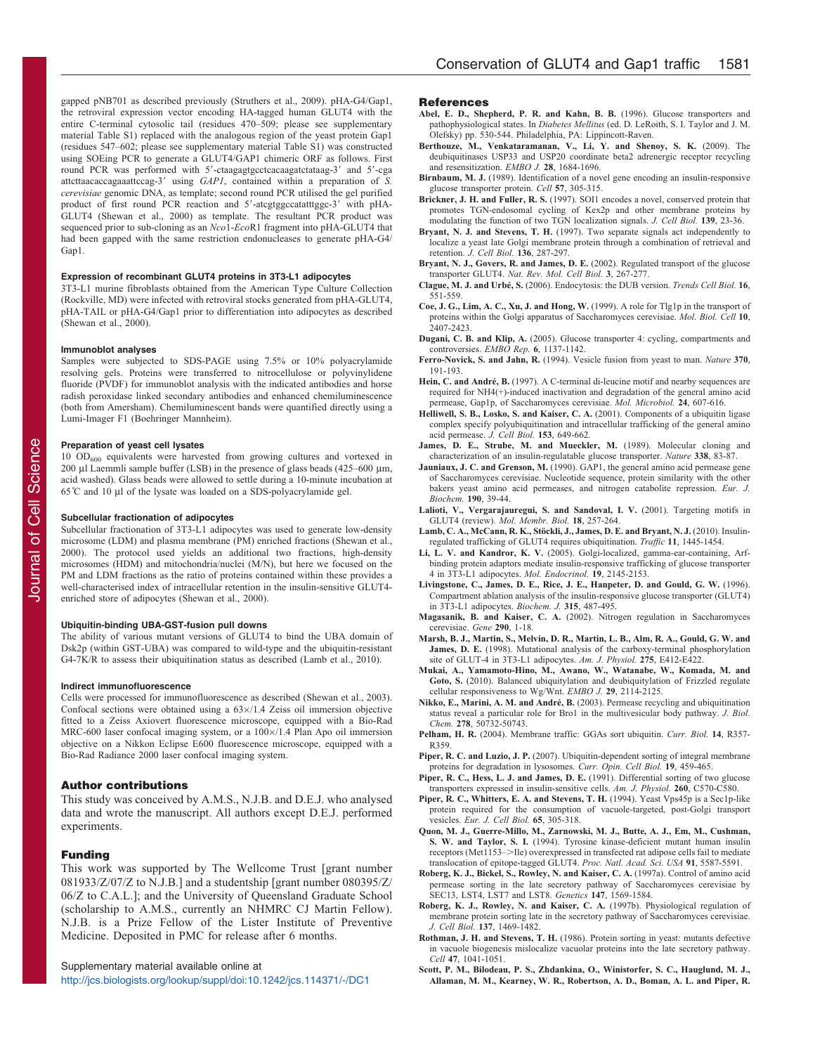<span id="page-5-0"></span>gapped pNB701 as described previously [\(Struthers et al., 2009](#page-6-0)). pHA-G4/Gap1, the retroviral expression vector encoding HA-tagged human GLUT4 with the entire C-terminal cytosolic tail (residues 470–509; please see supplementary material Table S1) replaced with the analogous region of the yeast protein Gap1 (residues 547–602; please see supplementary material Table S1) was constructed using SOEing PCR to generate a GLUT4/GAP1 chimeric ORF as follows. First round PCR was performed with 5'-ctaagagtgcctcacaagatctataag-3' and 5'-cga attcttaacaccagaaattccag-3' using GAP1, contained within a preparation of S. cerevisiae genomic DNA, as template; second round PCR utilised the gel purified product of first round PCR reaction and 5'-atcgtggccatatttggc-3' with pHA-GLUT4 [\(Shewan et al., 2000](#page-6-0)) as template. The resultant PCR product was sequenced prior to sub-cloning as an Nco1-EcoR1 fragment into pHA-GLUT4 that had been gapped with the same restriction endonucleases to generate pHA-G4/ Gap1.

# Expression of recombinant GLUT4 proteins in 3T3-L1 adipocytes

3T3-L1 murine fibroblasts obtained from the American Type Culture Collection (Rockville, MD) were infected with retroviral stocks generated from pHA-GLUT4, pHA-TAIL or pHA-G4/Gap1 prior to differentiation into adipocytes as described [\(Shewan et al., 2000](#page-6-0)).

#### Immunoblot analyses

Samples were subjected to SDS-PAGE using 7.5% or 10% polyacrylamide resolving gels. Proteins were transferred to nitrocellulose or polyvinylidene fluoride (PVDF) for immunoblot analysis with the indicated antibodies and horse radish peroxidase linked secondary antibodies and enhanced chemiluminescence (both from Amersham). Chemiluminescent bands were quantified directly using a Lumi-Imager F1 (Boehringer Mannheim).

## Preparation of yeast cell lysates

 $10$  OD<sub>600</sub> equivalents were harvested from growing cultures and vortexed in 200  $\mu$ l Laemmli sample buffer (LSB) in the presence of glass beads (425–600  $\mu$ m, acid washed). Glass beads were allowed to settle during a 10-minute incubation at  $65^{\circ}$ C and 10 µl of the lysate was loaded on a SDS-polyacrylamide gel.

## Subcellular fractionation of adipocytes

Subcellular fractionation of 3T3-L1 adipocytes was used to generate low-density microsome (LDM) and plasma membrane (PM) enriched fractions [\(Shewan et al.,](#page-6-0) [2000\)](#page-6-0). The protocol used yields an additional two fractions, high-density microsomes (HDM) and mitochondria/nuclei (M/N), but here we focused on the PM and LDM fractions as the ratio of proteins contained within these provides a well-characterised index of intracellular retention in the insulin-sensitive GLUT4 enriched store of adipocytes [\(Shewan et al., 2000\)](#page-6-0).

#### Ubiquitin-binding UBA-GST-fusion pull downs

The ability of various mutant versions of GLUT4 to bind the UBA domain of Dsk2p (within GST-UBA) was compared to wild-type and the ubiquitin-resistant G4-7K/R to assess their ubiquitination status as described (Lamb et al., 2010).

## Indirect immunofluorescence

Cells were processed for immunofluorescence as described [\(Shewan et al., 2003\)](#page-6-0). Confocal sections were obtained using a  $63\times/1.4$  Zeiss oil immersion objective fitted to a Zeiss Axiovert fluorescence microscope, equipped with a Bio-Rad MRC-600 laser confocal imaging system, or a  $100 \times / 1.4$  Plan Apo oil immersion objective on a Nikkon Eclipse E600 fluorescence microscope, equipped with a Bio-Rad Radiance 2000 laser confocal imaging system.

### Author contributions

This study was conceived by A.M.S., N.J.B. and D.E.J. who analysed data and wrote the manuscript. All authors except D.E.J. performed experiments.

# Funding

This work was supported by The Wellcome Trust [grant number 081933/Z/07/Z to N.J.B.] and a studentship [grant number 080395/Z/ 06/Z to C.A.L.]; and the University of Queensland Graduate School (scholarship to A.M.S., currently an NHMRC CJ Martin Fellow). N.J.B. is a Prize Fellow of the Lister Institute of Preventive Medicine. Deposited in PMC for release after 6 months.

Supplementary material available online at

<http://jcs.biologists.org/lookup/suppl/doi:10.1242/jcs.114371/-/DC1>

## **References**

- Abel, E. D., Shepherd, P. R. and Kahn, B. B. (1996). Glucose transporters and pathophysiological states. In Diabetes Mellitus (ed. D. LeRoith, S. I. Taylor and J. M. Olefsky) pp. 530-544. Philadelphia, PA: Lippincott-Raven.
- [Berthouze, M., Venkataramanan, V., Li, Y. and Shenoy, S. K.](http://dx.doi.org/10.1038/emboj.2009.128) (2009). The [deubiquitinases USP33 and USP20 coordinate beta2 adrenergic receptor recycling](http://dx.doi.org/10.1038/emboj.2009.128) [and resensitization.](http://dx.doi.org/10.1038/emboj.2009.128) EMBO J. 28, 1684-1696.
- Birnbaum, M. J. [\(1989\). Identification of a novel gene encoding an insulin-responsive](http://dx.doi.org/10.1016/0092-8674(89)90968-9) [glucose transporter protein.](http://dx.doi.org/10.1016/0092-8674(89)90968-9) Cell 57, 305-315.
- Brickner, J. H. and Fuller, R. S. [\(1997\). SOI1 encodes a novel, conserved protein that](http://dx.doi.org/10.1083/jcb.139.1.23) [promotes TGN-endosomal cycling of Kex2p and other membrane proteins by](http://dx.doi.org/10.1083/jcb.139.1.23) [modulating the function of two TGN localization signals.](http://dx.doi.org/10.1083/jcb.139.1.23) J. Cell Biol. 139, 23-36.
- Bryant, N. J. and Stevens, T. H. [\(1997\). Two separate signals act independently to](http://dx.doi.org/10.1083/jcb.136.2.287) [localize a yeast late Golgi membrane protein through a combination of retrieval and](http://dx.doi.org/10.1083/jcb.136.2.287) retention. [J. Cell Biol.](http://dx.doi.org/10.1083/jcb.136.2.287) 136, 287-297.
- [Bryant, N. J., Govers, R. and James, D. E.](http://dx.doi.org/10.1038/nrm782) (2002). Regulated transport of the glucose transporter GLUT4. [Nat. Rev. Mol. Cell Biol.](http://dx.doi.org/10.1038/nrm782) 3, 267-277.
- Clague, M. J. and Urbé, S. [\(2006\). Endocytosis: the DUB version.](http://dx.doi.org/10.1016/j.tcb.2006.09.002) Trends Cell Biol. 16, [551-559.](http://dx.doi.org/10.1016/j.tcb.2006.09.002)
- Coe, J. G., Lim, A. C., Xu, J. and Hong, W. (1999). A role for Tlg1p in the transport of proteins within the Golgi apparatus of Saccharomyces cerevisiae. Mol. Biol. Cell 10, 2407-2423.
- Dugani, C. B. and Klip, A. [\(2005\). Glucose transporter 4: cycling, compartments and](http://dx.doi.org/10.1038/sj.embor.7400584) [controversies.](http://dx.doi.org/10.1038/sj.embor.7400584) EMBO Rep. 6, 1137-1142.
- Ferro-Novick, S. and Jahn, R. [\(1994\). Vesicle fusion from yeast to man.](http://dx.doi.org/10.1038/370191a0) Nature 370, [191-193.](http://dx.doi.org/10.1038/370191a0)
- Hein, C. and André, B. [\(1997\). A C-terminal di-leucine motif and nearby sequences are](http://dx.doi.org/10.1046/j.1365-2958.1997.3771735.x) [required for NH4\(+\)-induced inactivation and degradation of the general amino acid](http://dx.doi.org/10.1046/j.1365-2958.1997.3771735.x) [permease, Gap1p, of Saccharomyces cerevisiae.](http://dx.doi.org/10.1046/j.1365-2958.1997.3771735.x) Mol. Microbiol. 24, 607-616.
- [Helliwell, S. B., Losko, S. and Kaiser, C. A.](http://dx.doi.org/10.1083/jcb.153.4.649) (2001). Components of a ubiquitin ligase [complex specify polyubiquitination and intracellular trafficking of the general amino](http://dx.doi.org/10.1083/jcb.153.4.649) [acid permease.](http://dx.doi.org/10.1083/jcb.153.4.649) J. Cell Biol. 153, 649-662.
- [James, D. E., Strube, M. and Mueckler, M.](http://dx.doi.org/10.1038/338083a0) (1989). Molecular cloning and [characterization of an insulin-regulatable glucose transporter.](http://dx.doi.org/10.1038/338083a0) Nature 338, 83-87.
- Jauniaux, J. C. and Grenson, M. (1990). GAP1, the general amino acid permease gene of Saccharomyces cerevisiae. Nucleotide sequence, protein similarity with the other bakers yeast amino acid permeases, and nitrogen catabolite repression. Eur. J. Biochem. 190, 39-44.
- [Lalioti, V., Vergarajauregui, S. and Sandoval, I. V.](http://dx.doi.org/10.1080/09687680110090780) (2001). Targeting motifs in GLUT4 (review). [Mol. Membr. Biol.](http://dx.doi.org/10.1080/09687680110090780) 18, 257-264.
- Lamb, C. A., McCann, R. K., Stöckli, J., James, D. E. and Bryant, N. J. (2010). Insulin[regulated trafficking of GLUT4 requires ubiquitination.](http://dx.doi.org/10.1111/j.1600-0854.2010.01113.x) Traffic 11, 1445-1454.
- Li, L. V. and Kandror, K. V. [\(2005\). Golgi-localized, gamma-ear-containing, Arf](http://dx.doi.org/10.1210/me.2005-0032)[binding protein adaptors mediate insulin-responsive trafficking of glucose transporter](http://dx.doi.org/10.1210/me.2005-0032) [4 in 3T3-L1 adipocytes.](http://dx.doi.org/10.1210/me.2005-0032) Mol. Endocrinol. 19, 2145-2153.
- Livingstone, C., James, D. E., Rice, J. E., Hanpeter, D. and Gould, G. W. (1996). Compartment ablation analysis of the insulin-responsive glucose transporter (GLUT4) in 3T3-L1 adipocytes. Biochem. J. 315, 487-495.
- Magasanik, B. and Kaiser, C. A. [\(2002\). Nitrogen regulation in Saccharomyces](http://dx.doi.org/10.1016/S0378-1119(02)00558-9) [cerevisiae.](http://dx.doi.org/10.1016/S0378-1119(02)00558-9) Gene 290, 1-18.
- Marsh, B. J., Martin, S., Melvin, D. R., Martin, L. B., Alm, R. A., Gould, G. W. and James, D. E. (1998). Mutational analysis of the carboxy-terminal phosphorylation site of GLUT-4 in 3T3-L1 adipocytes. Am. J. Physiol. 275, E412-E422.
- [Mukai, A., Yamamoto-Hino, M., Awano, W., Watanabe, W., Komada, M. and](http://dx.doi.org/10.1038/emboj.2010.100) Goto, S. [\(2010\). Balanced ubiquitylation and deubiquitylation of Frizzled regulate](http://dx.doi.org/10.1038/emboj.2010.100) [cellular responsiveness to Wg/Wnt.](http://dx.doi.org/10.1038/emboj.2010.100) EMBO J. 29, 2114-2125.
- Nikko, E., Marini, A. M. and André, B. [\(2003\). Permease recycling and ubiquitination](http://dx.doi.org/10.1074/jbc.M306953200) [status reveal a particular role for Bro1 in the multivesicular body pathway.](http://dx.doi.org/10.1074/jbc.M306953200) J. Biol. Chem. 278[, 50732-50743.](http://dx.doi.org/10.1074/jbc.M306953200)
- Pelham, H. R. [\(2004\). Membrane traffic: GGAs sort ubiquitin.](http://dx.doi.org/10.1016/j.cub.2004.04.027) Curr. Biol. 14, R357- [R359.](http://dx.doi.org/10.1016/j.cub.2004.04.027)
- Piper, R. C. and Luzio, J. P. [\(2007\). Ubiquitin-dependent sorting of integral membrane](http://dx.doi.org/10.1016/j.ceb.2007.07.002) [proteins for degradation in lysosomes.](http://dx.doi.org/10.1016/j.ceb.2007.07.002) Curr. Opin. Cell Biol. 19, 459-465.
- Piper, R. C., Hess, L. J. and James, D. E. (1991). Differential sorting of two glucose transporters expressed in insulin-sensitive cells. Am. J. Physiol. 260, C570-C580.
- Piper, R. C., Whitters, E. A. and Stevens, T. H. (1994). Yeast Vps45p is a Sec1p-like protein required for the consumption of vacuole-targeted, post-Golgi transport vesicles. Eur. J. Cell Biol. 65, 305-318.
- [Quon, M. J., Guerre-Millo, M., Zarnowski, M. J., Butte, A. J., Em, M., Cushman,](http://dx.doi.org/10.1073/pnas.91.12.5587) S. W. and Taylor, S. I. [\(1994\). Tyrosine kinase-deficient mutant human insulin](http://dx.doi.org/10.1073/pnas.91.12.5587) receptors (Met1153->[Ile\) overexpressed in transfected rat adipose cells fail to mediate](http://dx.doi.org/10.1073/pnas.91.12.5587) [translocation of epitope-tagged GLUT4.](http://dx.doi.org/10.1073/pnas.91.12.5587) Proc. Natl. Acad. Sci. USA 91, 5587-5591.
- Roberg, K. J., Bickel, S., Rowley, N. and Kaiser, C. A. (1997a). Control of amino acid permease sorting in the late secretory pathway of Saccharomyces cerevisiae by SEC13, LST4, LST7 and LST8. Genetics 147, 1569-1584.
- [Roberg, K. J., Rowley, N. and Kaiser, C. A.](http://dx.doi.org/10.1083/jcb.137.7.1469) (1997b). Physiological regulation of [membrane protein sorting late in the secretory pathway of Saccharomyces cerevisiae.](http://dx.doi.org/10.1083/jcb.137.7.1469) J. Cell Biol. 137[, 1469-1482.](http://dx.doi.org/10.1083/jcb.137.7.1469)
- Rothman, J. H. and Stevens, T. H. [\(1986\). Protein sorting in yeast: mutants defective](http://dx.doi.org/10.1016/0092-8674(86)90819-6) [in vacuole biogenesis mislocalize vacuolar proteins into the late secretory pathway.](http://dx.doi.org/10.1016/0092-8674(86)90819-6) Cell 47[, 1041-1051.](http://dx.doi.org/10.1016/0092-8674(86)90819-6)
- [Scott, P. M., Bilodeau, P. S., Zhdankina, O., Winistorfer, S. C., Hauglund, M. J.,](http://dx.doi.org/10.1038/ncb1107) [Allaman, M. M., Kearney, W. R., Robertson, A. D., Boman, A. L. and Piper, R.](http://dx.doi.org/10.1038/ncb1107)